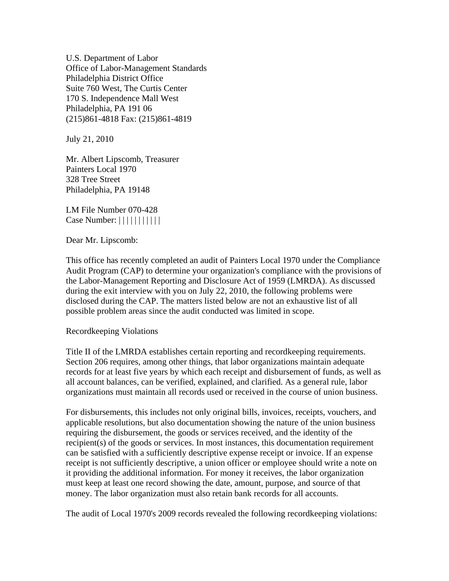U.S. Department of Labor Office of Labor-Management Standards Philadelphia District Office Suite 760 West, The Curtis Center 170 S. Independence Mall West Philadelphia, PA 191 06 (215)861-4818 Fax: (215)861-4819

July 21, 2010

Mr. Albert Lipscomb, Treasurer Painters Local 1970 328 Tree Street Philadelphia, PA 19148

LM File Number 070-428 Case Number:  $||||||||||||||$ 

Dear Mr. Lipscomb:

This office has recently completed an audit of Painters Local 1970 under the Compliance Audit Program (CAP) to determine your organization's compliance with the provisions of the Labor-Management Reporting and Disclosure Act of 1959 (LMRDA). As discussed during the exit interview with you on July 22, 2010, the following problems were disclosed during the CAP. The matters listed below are not an exhaustive list of all possible problem areas since the audit conducted was limited in scope.

Recordkeeping Violations

Title II of the LMRDA establishes certain reporting and recordkeeping requirements. Section 206 requires, among other things, that labor organizations maintain adequate records for at least five years by which each receipt and disbursement of funds, as well as all account balances, can be verified, explained, and clarified. As a general rule, labor organizations must maintain all records used or received in the course of union business.

For disbursements, this includes not only original bills, invoices, receipts, vouchers, and applicable resolutions, but also documentation showing the nature of the union business requiring the disbursement, the goods or services received, and the identity of the recipient(s) of the goods or services. In most instances, this documentation requirement can be satisfied with a sufficiently descriptive expense receipt or invoice. If an expense receipt is not sufficiently descriptive, a union officer or employee should write a note on it providing the additional information. For money it receives, the labor organization must keep at least one record showing the date, amount, purpose, and source of that money. The labor organization must also retain bank records for all accounts.

The audit of Local 1970's 2009 records revealed the following recordkeeping violations: